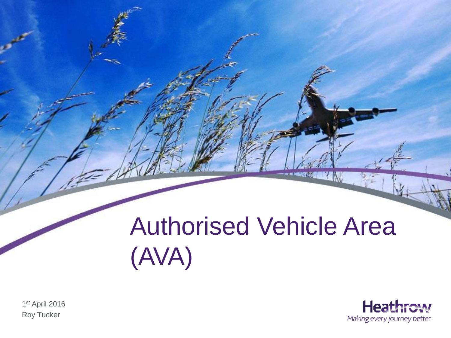## Authorised Vehicle Area (AVA)

-- 224



1 st April 2016 Roy Tucker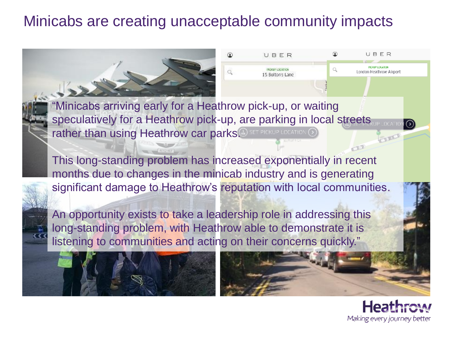## Minicabs are creating unacceptable community impacts



"Minicabs arriving early for a Heathrow pick-up, or waiting speculatively for a Heathrow pick-up, are parking in local streets rather than using Heathrow car parks. FOR THERUP LOCATION G

This long-standing problem has increased exponentially in recent months due to changes in the minicab industry and is generating significant damage to Heathrow's reputation with local communities.

An opportunity exists to take a leadership role in addressing this long-standing problem, with Heathrow able to demonstrate it is listening to communities and acting on their concerns quickly."





CILL

Making every journey better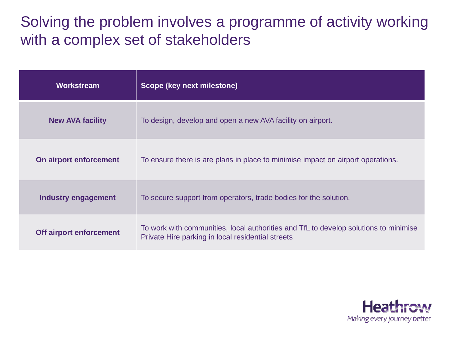### Solving the problem involves a programme of activity working with a complex set of stakeholders

| Workstream                 | Scope (key next milestone)                                                                                                                |
|----------------------------|-------------------------------------------------------------------------------------------------------------------------------------------|
| <b>New AVA facility</b>    | To design, develop and open a new AVA facility on airport.                                                                                |
| On airport enforcement     | To ensure there is are plans in place to minimise impact on airport operations.                                                           |
| <b>Industry engagement</b> | To secure support from operators, trade bodies for the solution.                                                                          |
| Off airport enforcement    | To work with communities, local authorities and TfL to develop solutions to minimise<br>Private Hire parking in local residential streets |

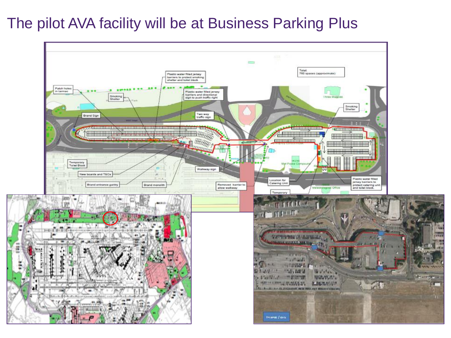#### The pilot AVA facility will be at Business Parking Plus

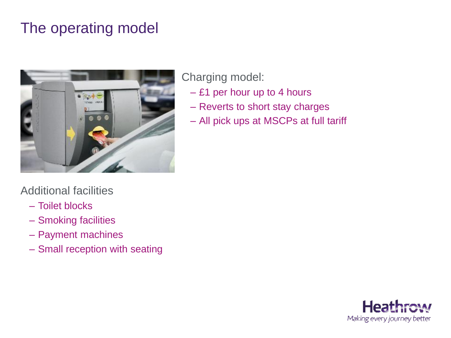## The operating model



#### Additional facilities

- Toilet blocks
- Smoking facilities
- Payment machines
- Small reception with seating

#### Charging model:

- £1 per hour up to 4 hours
- Reverts to short stay charges
- All pick ups at MSCPs at full tariff

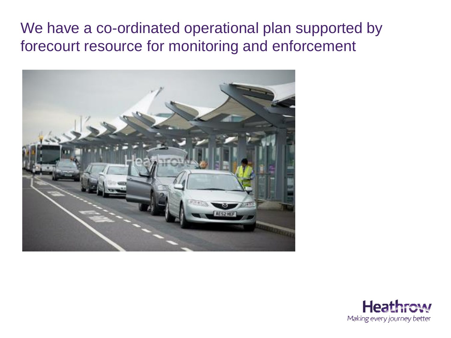#### We have a co-ordinated operational plan supported by forecourt resource for monitoring and enforcement



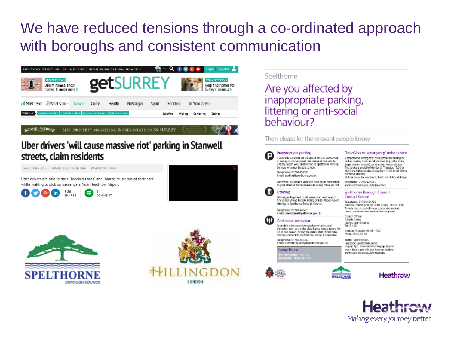## We have reduced tensions through a co-ordinated approach with boroughs and consistent communication







#### Spelthorne

Are you affected by inappropriate parking, littering or anti-social behaviour?

#### Then please let the relevant people know

#### Inappropriate parking

If a whicle is parked on a dropped lost or scross your driveway do not approach the cerner of the vehicle directly, report your observation to Spelthorne Parking Services who may be able to help. Telephone: 01784 459355 Email: parking@spelthorne.gov.uk

Otherwise, if a parked whicle is causing an obstruction. to your street or home please call Surrey Police on 101.



Littering is illegal and could warrant an on-the-spot. fine called a Fixed Penalty Notice of £80. Please report littering to Spekhorne Borough Council.

Telephone: 01784 446411 Email: streetscene@spelthorne.gov.uk



To enable a thorough investigation of anti-social bahaviour such as a noise disturbance keep a record for up to two weeks, noting the dates, start / finish time, severity and vehicle registration number if applicable

Telephone: 01784 446322 Email: community.wiviy@spelihorne.gov.uk

**Surrey Police** ergency stways dial 939







Out-of-hours 'emergency' noise service

A response to "emergency" noise problems relating to: parties, alarms, commercial premises (e.g. pubs, clubs,

shaps, offices, schools), construction sites and more.

following Monday

Telephone: 01932 425000

Telephone: 01784 451499

Contact Centre

Council Offices Knowle Green

TW18 1X3

Staines-spon-Thames

Rfday: 08:45-16:45

Teltter: SpalthomeBC

Monday-Trunday, 08:45-17:00

Facabook: SpelthomaCouncil Engage App: download our Engage App to

www.spelthome.gou.uk/noiseservice

Spelthorne Borough Council

This service is available Monday to Thursday, 17:00 to

08:00 the following day. Friday from 17:00 to 08:00 the

24 hour cover for weekends, Bank and Public Holidays.

(Monday-Thursday: 8:00-18:00, Friday: 08:00-17:00. There is also an out-of-hours automated service)

Email: customer services@spelthome.gov.uk

report issues, pay bills and keep up to date www.spelthorne.gov.uk/engageapp

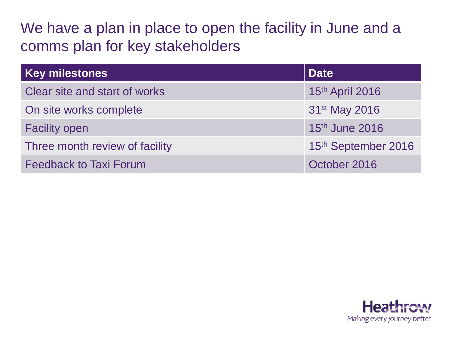## We have a plan in place to open the facility in June and a comms plan for key stakeholders

| <b>Key milestones</b>          | <b>Date</b>                |
|--------------------------------|----------------------------|
| Clear site and start of works  | 15th April 2016            |
| On site works complete         | 31 <sup>st</sup> May 2016  |
| <b>Facility open</b>           | 15 <sup>th</sup> June 2016 |
| Three month review of facility | 15th September 2016        |
| <b>Feedback to Taxi Forum</b>  | October 2016               |